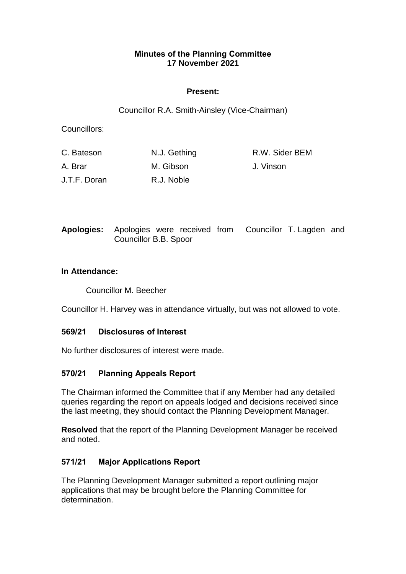### **Minutes of the Planning Committee 17 November 2021**

### **Present:**

Councillor R.A. Smith-Ainsley (Vice-Chairman)

Councillors:

| C. Bateson   | N.J. Gething | R.W. Sider BEM |
|--------------|--------------|----------------|
| A. Brar      | M. Gibson    | J. Vinson      |
| J.T.F. Doran | R.J. Noble   |                |

**Apologies:** Apologies were received from Councillor T. Lagden and Councillor B.B. Spoor

#### **In Attendance:**

Councillor M. Beecher

Councillor H. Harvey was in attendance virtually, but was not allowed to vote.

#### **569/21 Disclosures of Interest**

No further disclosures of interest were made.

#### **570/21 Planning Appeals Report**

The Chairman informed the Committee that if any Member had any detailed queries regarding the report on appeals lodged and decisions received since the last meeting, they should contact the Planning Development Manager.

**Resolved** that the report of the Planning Development Manager be received and noted.

# **571/21 Major Applications Report**

The Planning Development Manager submitted a report outlining major applications that may be brought before the Planning Committee for determination.